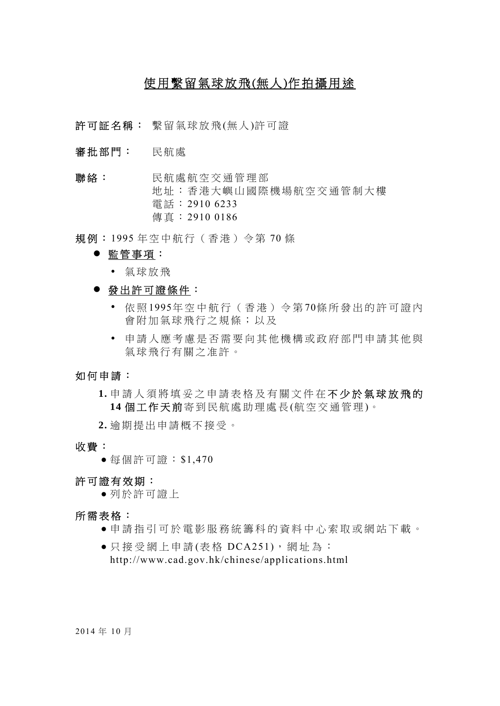# 使用繫留氣球放飛(無人)作拍攝用途

- 許可証名稱: 繫留氣球放飛(無人)許可證
- 審批部門: 民航處
- 聯絡: 民航處航空交通管理部 地址:香港大嶼山國際機場航空交通管制大樓 電話: 2910 6233 傳真: 2910 0186
- 規例: 1995 年空中航行(香港)令第 70 條
	- 監管事項:
		- 氣球放飛
	- 發出許可證條件:
		- 依 照 1995年空中航行(香港)令第 70條所發出的許可證內 會附加氣球飛行之規條;以及
		- 申請人應考慮是否需要向其他機構或政府部門申請其他與 氣球飛行有關之准許。

### 如何申請:

 **1.** 申請人須將填妥之申請表格及有關文件在 不少於氣球放飛的 14 個工作天前寄到民航處助理處長(航空交通管理)。

 **2.** 逾期提出申請概不接受。

- 收費:
	- 每個許可證: \$1,470

### 許可證有效期:

● 列於許可證上

### 所需表格:

- 申請指引可於電影服務統籌科的資料中心索取或網站下載。
- 只接受網上申請(表格 DCA251), 網址為: http://www.cad.gov.hk/chinese/applications.html

2014 年 10 月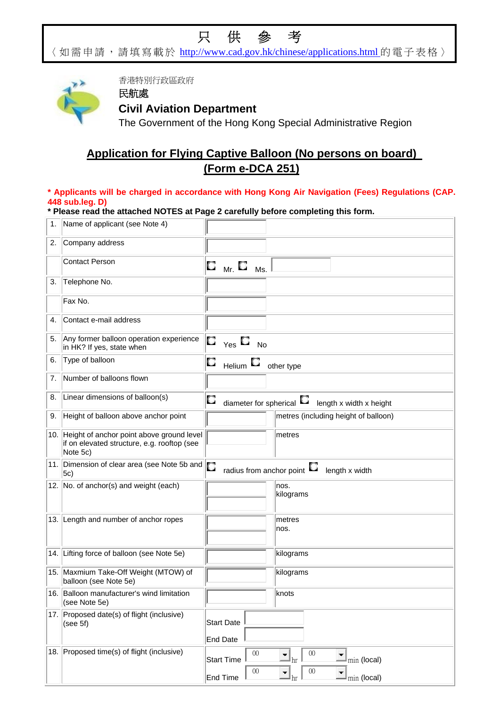# 只供參考

〈如需申請,請填寫載於 http://www.cad.gov.hk/chinese/applications.html 的電子表格〉



香港特別行政區政府

## 民航處 **Civil Aviation Department**

The Government of the Hong Kong Special Administrative Region

# **Application for Flying Captive Balloon (No persons on board) (Form e-DCA 251)**

### **\* Applicants will be charged in accordance with Hong Kong Air Navigation (Fees) Regulations (CAP. 448 sub.leg. D)**

### **\* Please read the attached NOTES at Page 2 carefully before completing this form.**

| 1. | Name of applicant (see Note 4)                                                                           |                                                                                                                                    |
|----|----------------------------------------------------------------------------------------------------------|------------------------------------------------------------------------------------------------------------------------------------|
| 2. | Company address                                                                                          |                                                                                                                                    |
|    | <b>Contact Person</b>                                                                                    | $\Box$ $_{\rm Mr.}$ $\Box$<br>Ms.                                                                                                  |
| 3. | Telephone No.                                                                                            |                                                                                                                                    |
|    | Fax No.                                                                                                  |                                                                                                                                    |
| 4. | Contact e-mail address                                                                                   |                                                                                                                                    |
| 5. | Any former balloon operation experience<br>in HK? If yes, state when                                     | O<br>$_{\mathsf{Yes}}$ $\Box$<br><b>No</b>                                                                                         |
| 6. | Type of balloon                                                                                          | С<br>Helium $\square$<br>other type                                                                                                |
| 7. | Number of balloons flown                                                                                 |                                                                                                                                    |
| 8. | Linear dimensions of balloon(s)                                                                          | О<br>diameter for spherical $\square$<br>length x width x height                                                                   |
| 9. | Height of balloon above anchor point                                                                     | metres (including height of balloon)                                                                                               |
|    | 10. Height of anchor point above ground level<br>if on elevated structure, e.g. rooftop (see<br>Note 5c) | metres                                                                                                                             |
|    | 11. Dimension of clear area (see Note 5b and<br>5c)                                                      | O<br>radius from anchor point<br>length x width                                                                                    |
|    | 12. No. of anchor(s) and weight (each)                                                                   | nos.<br>kilograms                                                                                                                  |
|    | 13. Length and number of anchor ropes                                                                    | metres<br>nos.                                                                                                                     |
|    | 14. Lifting force of balloon (see Note 5e)                                                               | kilograms                                                                                                                          |
|    | 15. Maxmium Take-Off Weight (MTOW) of<br>balloon (see Note 5e)                                           | kilograms                                                                                                                          |
|    | 16. Balloon manufacturer's wind limitation<br>(see Note 5e)                                              | knots                                                                                                                              |
|    | 17. Proposed date(s) of flight (inclusive)<br>(see 5f)                                                   | <b>Start Date</b><br><b>End Date</b>                                                                                               |
|    | 18. Proposed time(s) of flight (inclusive)                                                               | $00\,$<br>$\overline{00}$<br>$\mathbb{I}_{\text{min}}$ (local)<br><b>Start Time</b><br>$00\,$<br>$00\,$<br>End Time<br>min (local) |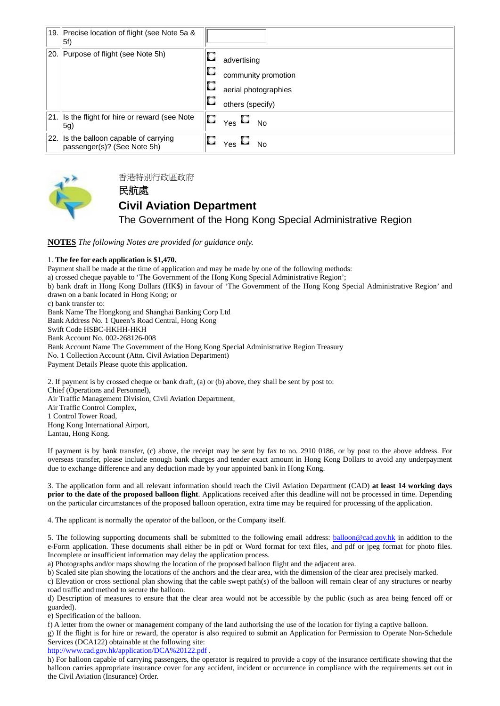| 19. Precise location of flight (see Note 5a &<br>$ 5f\rangle$         |   |                                        |
|-----------------------------------------------------------------------|---|----------------------------------------|
| 20. Purpose of flight (see Note 5h)                                   | О | advertising                            |
|                                                                       | O | community promotion                    |
|                                                                       |   | aerial photographies                   |
|                                                                       |   | others (specify)                       |
| 21. Is the flight for hire or reward (see Note<br>5g)                 | О | $_{\mathsf{Yes}} \, \Box$<br><b>No</b> |
| 22. Is the balloon capable of carrying<br>passenger(s)? (See Note 5h) |   | О<br>No<br>Yes                         |



香港特別行政區政府

### 民航處 **Civil Aviation Department**

The Government of the Hong Kong Special Administrative Region

**NOTES** *The following Notes are provided for guidance only.* 

#### 1. **The fee for each application is \$1,470.**

Payment shall be made at the time of application and may be made by one of the following methods: a) crossed cheque payable to 'The Government of the Hong Kong Special Administrative Region'; b) bank draft in Hong Kong Dollars (HK\$) in favour of 'The Government of the Hong Kong Special Administrative Region' and drawn on a bank located in Hong Kong; or c) bank transfer to: Bank Name The Hongkong and Shanghai Banking Corp Ltd Bank Address No. 1 Queen's Road Central, Hong Kong Swift Code HSBC-HKHH-HKH Bank Account No. 002-268126-008 Bank Account Name The Government of the Hong Kong Special Administrative Region Treasury No. 1 Collection Account (Attn. Civil Aviation Department) Payment Details Please quote this application. 2. If payment is by crossed cheque or bank draft, (a) or (b) above, they shall be sent by post to: Chief (Operations and Personnel), Air Traffic Management Division, Civil Aviation Department, Air Traffic Control Complex,

1 Control Tower Road, Hong Kong International Airport, Lantau, Hong Kong.

If payment is by bank transfer, (c) above, the receipt may be sent by fax to no. 2910 0186, or by post to the above address. For overseas transfer, please include enough bank charges and tender exact amount in Hong Kong Dollars to avoid any underpayment due to exchange difference and any deduction made by your appointed bank in Hong Kong.

3. The application form and all relevant information should reach the Civil Aviation Department (CAD) **at least 14 working days prior to the date of the proposed balloon flight**. Applications received after this deadline will not be processed in time. Depending on the particular circumstances of the proposed balloon operation, extra time may be required for processing of the application.

4. The applicant is normally the operator of the balloon, or the Company itself.

5. The following supporting documents shall be submitted to the following email address: balloon@cad.gov.hk in addition to the e-Form application. These documents shall either be in pdf or Word format for text files, and pdf or jpeg format for photo files. Incomplete or insufficient information may delay the application process.

a) Photographs and/or maps showing the location of the proposed balloon flight and the adjacent area.

b) Scaled site plan showing the locations of the anchors and the clear area, with the dimension of the clear area precisely marked.

c) Elevation or cross sectional plan showing that the cable swept path(s) of the balloon will remain clear of any structures or nearby road traffic and method to secure the balloon.

d) Description of measures to ensure that the clear area would not be accessible by the public (such as area being fenced off or guarded).

e) Specification of the balloon.

f) A letter from the owner or management company of the land authorising the use of the location for flying a captive balloon. g) If the flight is for hire or reward, the operator is also required to submit an Application for Permission to Operate Non-Schedule Services (DCA122) obtainable at the following site:

http://www.cad.gov.hk/application/DCA%20122.pdf.

h) For balloon capable of carrying passengers, the operator is required to provide a copy of the insurance certificate showing that the balloon carries appropriate insurance cover for any accident, incident or occurrence in compliance with the requirements set out in the Civil Aviation (Insurance) Order.